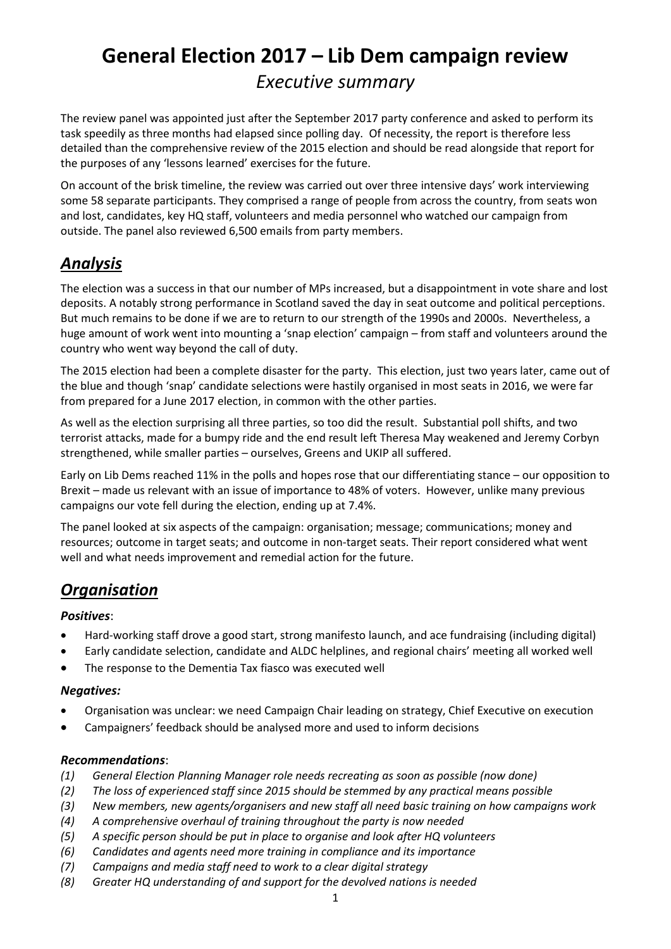# **General Election 2017 – Lib Dem campaign review** *Executive summary*

The review panel was appointed just after the September 2017 party conference and asked to perform its task speedily as three months had elapsed since polling day. Of necessity, the report is therefore less detailed than the comprehensive review of the 2015 election and should be read alongside that report for the purposes of any 'lessons learned' exercises for the future.

On account of the brisk timeline, the review was carried out over three intensive days' work interviewing some 58 separate participants. They comprised a range of people from across the country, from seats won and lost, candidates, key HQ staff, volunteers and media personnel who watched our campaign from outside. The panel also reviewed 6,500 emails from party members.

# *Analysis*

The election was a success in that our number of MPs increased, but a disappointment in vote share and lost deposits. A notably strong performance in Scotland saved the day in seat outcome and political perceptions. But much remains to be done if we are to return to our strength of the 1990s and 2000s. Nevertheless, a huge amount of work went into mounting a 'snap election' campaign – from staff and volunteers around the country who went way beyond the call of duty.

The 2015 election had been a complete disaster for the party. This election, just two years later, came out of the blue and though 'snap' candidate selections were hastily organised in most seats in 2016, we were far from prepared for a June 2017 election, in common with the other parties.

As well as the election surprising all three parties, so too did the result. Substantial poll shifts, and two terrorist attacks, made for a bumpy ride and the end result left Theresa May weakened and Jeremy Corbyn strengthened, while smaller parties – ourselves, Greens and UKIP all suffered.

Early on Lib Dems reached 11% in the polls and hopes rose that our differentiating stance – our opposition to Brexit – made us relevant with an issue of importance to 48% of voters. However, unlike many previous campaigns our vote fell during the election, ending up at 7.4%.

The panel looked at six aspects of the campaign: organisation; message; communications; money and resources; outcome in target seats; and outcome in non-target seats. Their report considered what went well and what needs improvement and remedial action for the future.

# *Organisation*

#### *Positives*:

- Hard-working staff drove a good start, strong manifesto launch, and ace fundraising (including digital)
- Early candidate selection, candidate and ALDC helplines, and regional chairs' meeting all worked well
- The response to the Dementia Tax fiasco was executed well

#### *Negatives:*

- Organisation was unclear: we need Campaign Chair leading on strategy, Chief Executive on execution
- Campaigners' feedback should be analysed more and used to inform decisions

#### *Recommendations*:

- *(1) General Election Planning Manager role needs recreating as soon as possible (now done)*
- *(2) The loss of experienced staff since 2015 should be stemmed by any practical means possible*
- *(3) New members, new agents/organisers and new staff all need basic training on how campaigns work*
- *(4) A comprehensive overhaul of training throughout the party is now needed*
- *(5) A specific person should be put in place to organise and look after HQ volunteers*
- *(6) Candidates and agents need more training in compliance and its importance*
- *(7) Campaigns and media staff need to work to a clear digital strategy*
- *(8) Greater HQ understanding of and support for the devolved nations is needed*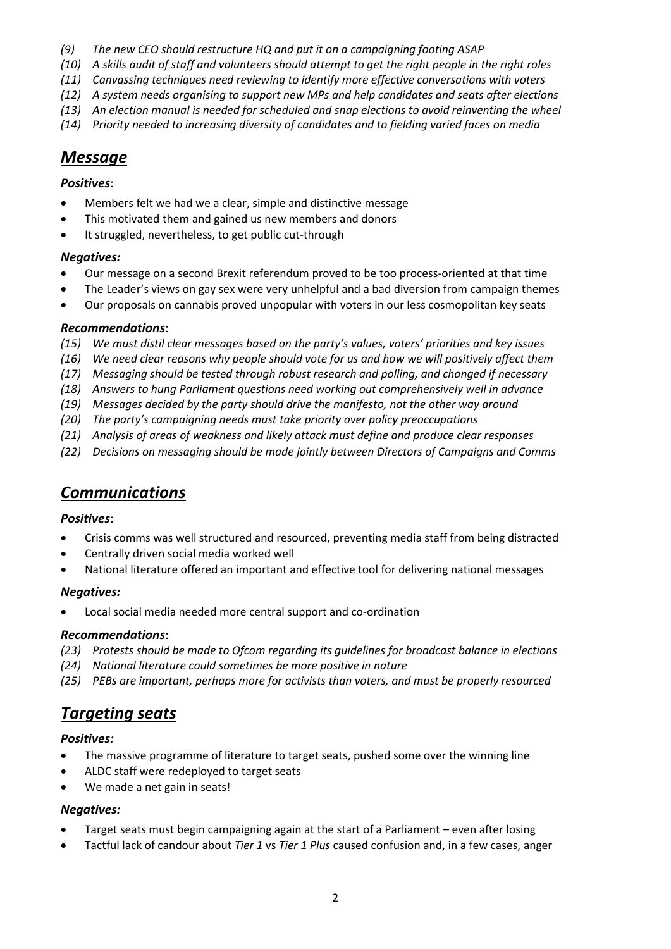- *(9) The new CEO should restructure HQ and put it on a campaigning footing ASAP*
- *(10) A skills audit of staff and volunteers should attempt to get the right people in the right roles*
- *(11) Canvassing techniques need reviewing to identify more effective conversations with voters*
- *(12) A system needs organising to support new MPs and help candidates and seats after elections*
- *(13) An election manual is needed for scheduled and snap elections to avoid reinventing the wheel*
- *(14) Priority needed to increasing diversity of candidates and to fielding varied faces on media*

### *Message*

#### *Positives*:

- Members felt we had we a clear, simple and distinctive message
- This motivated them and gained us new members and donors
- It struggled, nevertheless, to get public cut-through

#### *Negatives:*

- Our message on a second Brexit referendum proved to be too process-oriented at that time
- The Leader's views on gay sex were very unhelpful and a bad diversion from campaign themes
- Our proposals on cannabis proved unpopular with voters in our less cosmopolitan key seats

#### *Recommendations*:

- *(15) We must distil clear messages based on the party's values, voters' priorities and key issues*
- *(16) We need clear reasons why people should vote for us and how we will positively affect them*
- *(17) Messaging should be tested through robust research and polling, and changed if necessary*
- *(18) Answers to hung Parliament questions need working out comprehensively well in advance*
- *(19) Messages decided by the party should drive the manifesto, not the other way around*
- *(20) The party's campaigning needs must take priority over policy preoccupations*
- *(21) Analysis of areas of weakness and likely attack must define and produce clear responses*
- *(22) Decisions on messaging should be made jointly between Directors of Campaigns and Comms*

# *Communications*

#### *Positives*:

- Crisis comms was well structured and resourced, preventing media staff from being distracted
- Centrally driven social media worked well
- National literature offered an important and effective tool for delivering national messages

#### *Negatives:*

• Local social media needed more central support and co-ordination

#### *Recommendations*:

- *(23) Protests should be made to Ofcom regarding its guidelines for broadcast balance in elections*
- *(24) National literature could sometimes be more positive in nature*
- *(25) PEBs are important, perhaps more for activists than voters, and must be properly resourced*

# *Targeting seats*

#### *Positives:*

- The massive programme of literature to target seats, pushed some over the winning line
- ALDC staff were redeployed to target seats
- We made a net gain in seats!

#### *Negatives:*

- Target seats must begin campaigning again at the start of a Parliament even after losing
- Tactful lack of candour about *Tier 1* vs *Tier 1 Plus* caused confusion and, in a few cases, anger